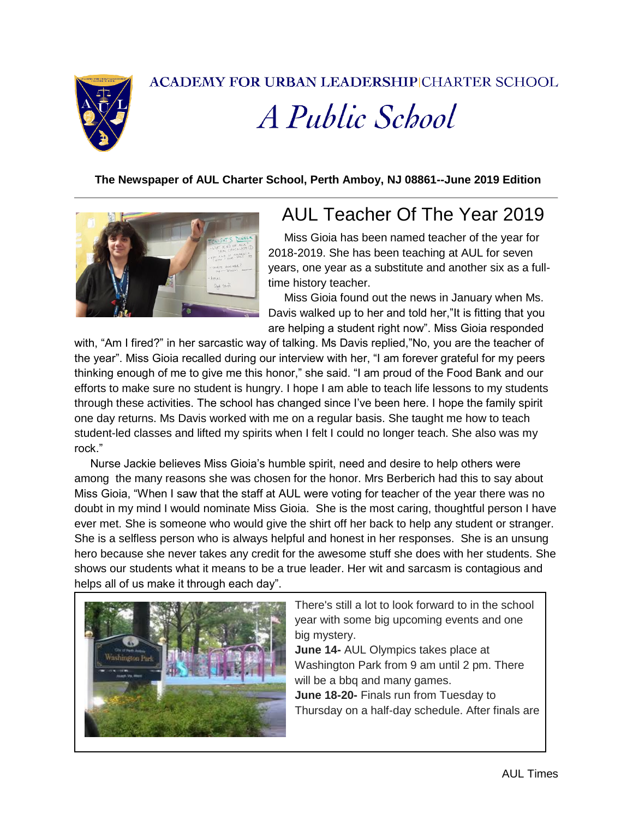

**ACADEMY FOR URBAN LEADERSHIPICHARTER SCHOOL** 

# A Public School

#### **The Newspaper of AUL Charter School, Perth Amboy, NJ 08861--June 2019 Edition**



### AUL Teacher Of The Year 2019

 Miss Gioia has been named teacher of the year for 2018-2019. She has been teaching at AUL for seven years, one year as a substitute and another six as a fulltime history teacher.

 Miss Gioia found out the news in January when Ms. Davis walked up to her and told her,"It is fitting that you are helping a student right now". Miss Gioia responded

with, "Am I fired?" in her sarcastic way of talking. Ms Davis replied,"No, you are the teacher of the year". Miss Gioia recalled during our interview with her, "I am forever grateful for my peers thinking enough of me to give me this honor," she said. "I am proud of the Food Bank and our efforts to make sure no student is hungry. I hope I am able to teach life lessons to my students through these activities. The school has changed since I've been here. I hope the family spirit one day returns. Ms Davis worked with me on a regular basis. She taught me how to teach student-led classes and lifted my spirits when I felt I could no longer teach. She also was my rock."

 Nurse Jackie believes Miss Gioia's humble spirit, need and desire to help others were among the many reasons she was chosen for the honor. Mrs Berberich had this to say about Miss Gioia, "When I saw that the staff at AUL were voting for teacher of the year there was no doubt in my mind I would nominate Miss Gioia. She is the most caring, thoughtful person I have ever met. She is someone who would give the shirt off her back to help any student or stranger. She is a selfless person who is always helpful and honest in her responses. She is an unsung hero because she never takes any credit for the awesome stuff she does with her students. She shows our students what it means to be a true leader. Her wit and sarcasm is contagious and helps all of us make it through each day".



There's still a lot to look forward to in the school year with some big upcoming events and one big mystery.

**June 14-** AUL Olympics takes place at Washington Park from 9 am until 2 pm. There will be a bbq and many games. **June 18-20-** Finals run from Tuesday to Thursday on a half-day schedule. After finals are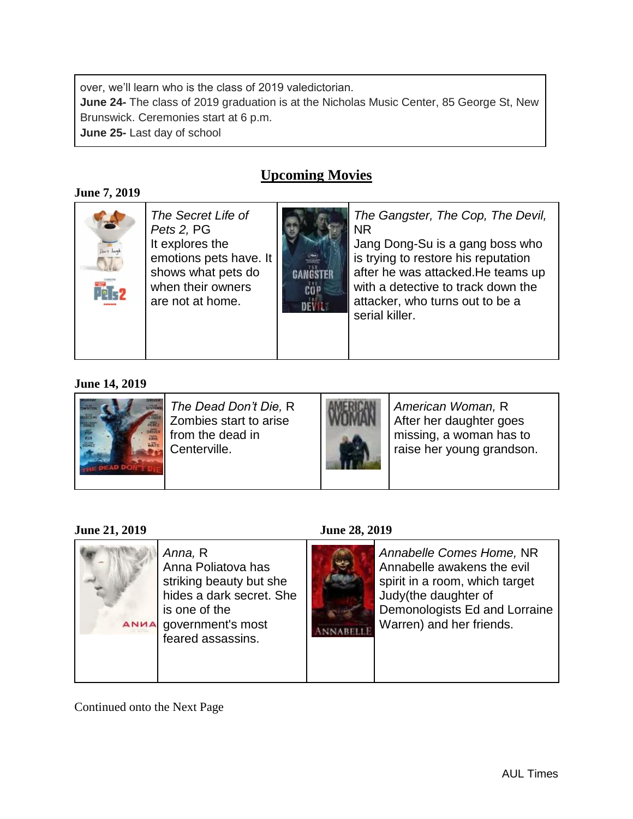over, we'll learn who is the class of 2019 valedictorian.

**June 24-** The class of 2019 graduation is at the Nicholas Music Center, 85 George St, New Brunswick. Ceremonies start at 6 p.m.

**June 25-** Last day of school

#### **Upcoming Movies**

#### **June 7, 2019**



*The Secret Life of Pets 2,* PG It explores the emotions pets have. It shows what pets do when their owners are not at home.



*The Gangster, The Cop, The Devil,*  NR

Jang Dong-Su is a gang boss who is trying to restore his reputation after he was attacked.He teams up with a detective to track down the attacker, who turns out to be a serial killer.

#### **June 14, 2019**



*The Dead Don't Die,* R Zombies start to arise from the dead in Centerville.



*American Woman,* R After her daughter goes missing, a woman has to raise her young grandson.

#### **June 21, 2019 June 28, 2019**



*Annabelle Comes Home,* NR Annabelle awakens the evil spirit in a room, which target Judy(the daughter of Demonologists Ed and Lorraine Warren) and her friends.

Continued onto the Next Page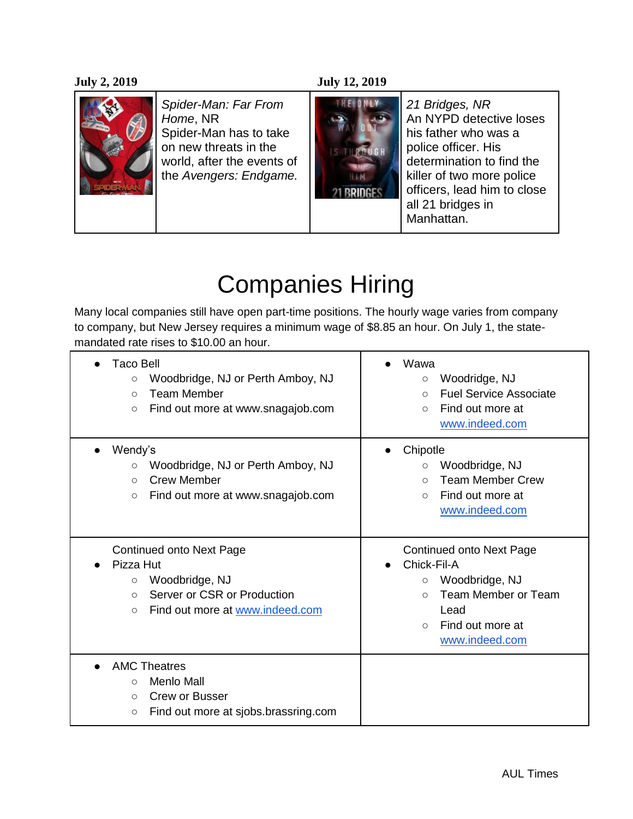#### **July 2, 2019 July 12, 2019**



*Spider-Man: Far From Home*, NR Spider-Man has to take on new threats in the world, after the events of the *Avengers: Endgame.*



*21 Bridges, NR* An NYPD detective loses his father who was a police officer. His determination to find the killer of two more police officers, lead him to close all 21 bridges in Manhattan.

### Companies Hiring

Many local companies still have open part-time positions. The hourly wage varies from company to company, but New Jersey requires a minimum wage of \$8.85 an hour. On July 1, the statemandated rate rises to \$10.00 an hour.

| <b>Taco Bell</b><br>Woodbridge, NJ or Perth Amboy, NJ<br>$\circ$<br><b>Team Member</b><br>$\bigcirc$<br>Find out more at www.snagajob.com<br>$\circ$                 | Wawa<br>Woodridge, NJ<br>$\circ$<br><b>Fuel Service Associate</b><br>$\bigcirc$<br>Find out more at<br>$\bigcirc$<br>www.indeed.com                                       |
|----------------------------------------------------------------------------------------------------------------------------------------------------------------------|---------------------------------------------------------------------------------------------------------------------------------------------------------------------------|
| Wendy's<br>Woodbridge, NJ or Perth Amboy, NJ<br>$\circ$<br><b>Crew Member</b><br>$\circ$<br>Find out more at www.snagajob.com<br>$\circ$                             | Chipotle<br>Woodbridge, NJ<br>$\circ$<br><b>Team Member Crew</b><br>$\bigcirc$<br>Find out more at<br>$\circ$<br>www.indeed.com                                           |
| <b>Continued onto Next Page</b><br>Pizza Hut<br>Woodbridge, NJ<br>$\circ$<br>Server or CSR or Production<br>$\bigcirc$<br>Find out more at www.indeed.com<br>$\circ$ | <b>Continued onto Next Page</b><br>Chick-Fil-A<br>Woodbridge, NJ<br>$\circ$<br>Team Member or Team<br>$\circ$<br>Lead<br>Find out more at<br>$\bigcirc$<br>www.indeed.com |
| <b>AMC Theatres</b><br>Menlo Mall<br>$\circ$<br>Crew or Busser<br>$\circ$<br>Find out more at sjobs.brassring.com<br>$\circ$                                         |                                                                                                                                                                           |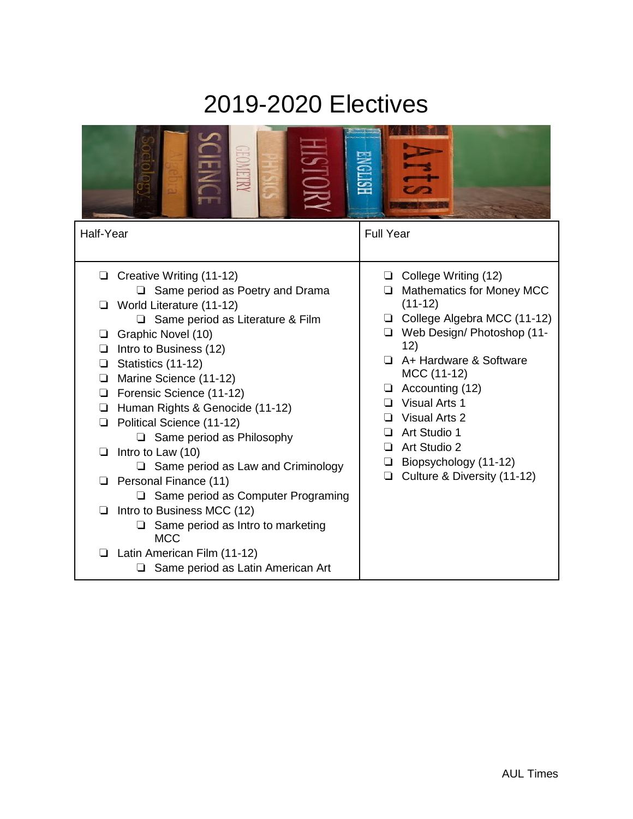### 2019-2020 Electives

| Half-Year                                                                                                                                                                                                                                                                                                                                                                                                                                                                                                                                                                                                                                                                                                                | <b>Full Year</b>                                                                                                                                                                                                                                                                                                                                                          |
|--------------------------------------------------------------------------------------------------------------------------------------------------------------------------------------------------------------------------------------------------------------------------------------------------------------------------------------------------------------------------------------------------------------------------------------------------------------------------------------------------------------------------------------------------------------------------------------------------------------------------------------------------------------------------------------------------------------------------|---------------------------------------------------------------------------------------------------------------------------------------------------------------------------------------------------------------------------------------------------------------------------------------------------------------------------------------------------------------------------|
| Creative Writing (11-12)<br>$\Box$ Same period as Poetry and Drama<br>World Literature (11-12)<br>$\Box$ Same period as Literature & Film<br>Graphic Novel (10)<br>❏<br>Intro to Business (12)<br>❏<br>Statistics (11-12)<br>$\Box$<br>Marine Science (11-12)<br>❏<br>Forensic Science (11-12)<br>□<br>Human Rights & Genocide (11-12)<br>❏<br>Political Science (11-12)<br>❏<br>$\Box$ Same period as Philosophy<br>Intro to Law (10)<br>⊔<br>$\Box$ Same period as Law and Criminology<br>Personal Finance (11)<br>$\Box$ Same period as Computer Programing<br>Intro to Business MCC (12)<br>ப<br>Same period as Intro to marketing<br><b>MCC</b><br>Latin American Film (11-12)<br>Same period as Latin American Art | College Writing (12)<br>❏<br><b>Mathematics for Money MCC</b><br>□<br>$(11-12)$<br>College Algebra MCC (11-12)<br>Web Design/ Photoshop (11-<br>❏<br>12)<br>A+ Hardware & Software<br>MCC (11-12)<br>Accounting (12)<br>❏<br>Visual Arts 1<br>Visual Arts 2<br>□<br>Art Studio 1<br>❏<br>Art Studio 2<br>□<br>□ Biopsychology (11-12)<br>Culture & Diversity (11-12)<br>❏ |